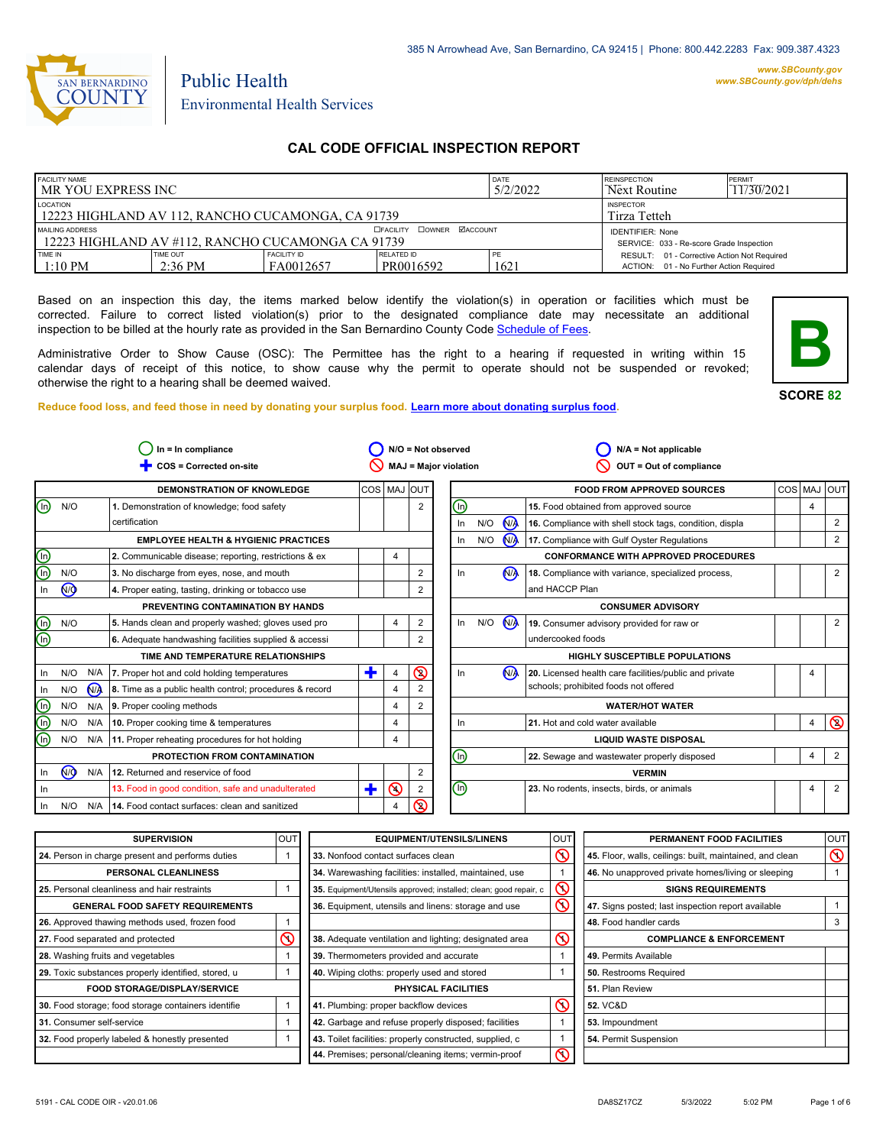

#### *www.SBCounty.gov [www.SBCounty.gov/dph/dehs](http://www.sbcounty.gov/dph/ehsportal)*

Public Health Environmental Health Services

# **CAL CODE OFFICIAL INSPECTION REPORT**

| <b>FACILITY NAME</b><br>I MR YOU EXPRESS INC                           |                               |                                  | DATE<br>5/2/2022                           | <b>REINSPECTION</b><br>Next Routine | PFRMIT<br>11/30/2021                                                                   |  |
|------------------------------------------------------------------------|-------------------------------|----------------------------------|--------------------------------------------|-------------------------------------|----------------------------------------------------------------------------------------|--|
| LOCATION<br>12223 HIGHLAND AV 112, RANCHO CUCAMONGA, CA 91739          |                               | <b>INSPECTOR</b><br>Tirza Tetteh |                                            |                                     |                                                                                        |  |
| MAILING ADDRESS<br>1 12223 HIGHLAND AV #112. RANCHO CUCAMONGA CA 91739 |                               |                                  | <b>COWNER MACCOUNT</b><br><b>EFACILITY</b> |                                     | <b>IDENTIFIER: None</b><br>SERVICE: 033 - Re-score Grade Inspection                    |  |
| TIME IN<br>$1:10$ PM                                                   | TIME OUT<br>$2:36 \text{ PM}$ | <b>FACILITY ID</b><br>FA0012657  | <b>RELATED ID</b><br>PR0016592             | PE<br>1621                          | RESULT: 01 - Corrective Action Not Required<br>ACTION: 01 - No Further Action Required |  |

Based on an inspection this day, the items marked below identify the violation(s) in operation or facilities which must be corrected. Failure to correct listed violation(s) prior to the designated compliance date may necessitate an additional inspection to be billed at the hourly rate as provided in the San Bernardino County Co[de Schedule of Fees.](https://codelibrary.amlegal.com/codes/sanbernardino/latest/sanberncty_ca/0-0-0-122474#JD_16.0213B)

Administrative Order to Show Cause (OSC): The Permittee has the right to a hearing if requested in writing within 15 calendar days of receipt of this notice, to show cause why the permit to operate should not be suspended or revoked; otherwise the right to a hearing shall be deemed waived.

**Reduce food loss, and feed those in need by donating your surplus f[ood. Learn more about donating surplus food.](https://wp.sbcounty.gov/dph/programs/ehs/charitable-food-service/)**



| $In = In$ compliance |                         | N/O = Not observed                                      |                                                         |                | $N/A = Not applicable$ |                                |                              |                |                                                         |             |   |                |
|----------------------|-------------------------|---------------------------------------------------------|---------------------------------------------------------|----------------|------------------------|--------------------------------|------------------------------|----------------|---------------------------------------------------------|-------------|---|----------------|
|                      | COS = Corrected on-site |                                                         | <b>MAJ = Major violation</b><br>OUT = Out of compliance |                |                        |                                |                              |                |                                                         |             |   |                |
|                      |                         | <b>DEMONSTRATION OF KNOWLEDGE</b>                       | COS MAJ OUT                                             |                |                        |                                |                              |                | <b>FOOD FROM APPROVED SOURCES</b>                       | COS MAJ OUT |   |                |
| N/O<br>ln)           |                         | 1. Demonstration of knowledge; food safety              |                                                         |                | $\overline{2}$         | $\textcircled{\scriptsize{1}}$ |                              |                | 15. Food obtained from approved source                  |             | 4 |                |
|                      |                         | certification                                           |                                                         |                |                        | In                             | N/O                          | <b>NA</b>      | 16. Compliance with shell stock tags, condition, displa |             |   | 2              |
|                      |                         | <b>EMPLOYEE HEALTH &amp; HYGIENIC PRACTICES</b>         |                                                         |                |                        | In                             | N/O                          | $N\lambda$     | 17. Compliance with Gulf Oyster Regulations             |             |   | 2              |
|                      |                         | 2. Communicable disease; reporting, restrictions & ex   |                                                         | 4              |                        |                                |                              |                | <b>CONFORMANCE WITH APPROVED PROCEDURES</b>             |             |   |                |
| N/O                  |                         | 3. No discharge from eyes, nose, and mouth              |                                                         |                | $\overline{2}$         | In                             |                              | N <sub>1</sub> | 18. Compliance with variance, specialized process,      |             |   | 2              |
| Q                    |                         | 4. Proper eating, tasting, drinking or tobacco use      |                                                         |                | 2                      |                                |                              |                | and HACCP Plan                                          |             |   |                |
|                      |                         | PREVENTING CONTAMINATION BY HANDS                       |                                                         |                |                        |                                |                              |                | <b>CONSUMER ADVISORY</b>                                |             |   |                |
| N/O                  |                         | 5. Hands clean and properly washed; gloves used pro     |                                                         | $\overline{4}$ | 2                      | In                             | N/O                          | N <sub>A</sub> | 19. Consumer advisory provided for raw or               |             |   | 2              |
|                      |                         | 6. Adequate handwashing facilities supplied & accessi   |                                                         |                | 2                      |                                |                              |                | undercooked foods                                       |             |   |                |
|                      |                         | TIME AND TEMPERATURE RELATIONSHIPS                      |                                                         |                |                        |                                |                              |                | <b>HIGHLY SUSCEPTIBLE POPULATIONS</b>                   |             |   |                |
| N/O                  | N/A                     | 7. Proper hot and cold holding temperatures             | ٠                                                       | 4              | $\circledS$            | In                             |                              | N <sub>A</sub> | 20. Licensed health care facilities/public and private  |             | 4 |                |
| N/O                  | <b>N<sub>A</sub></b>    | 8. Time as a public health control; procedures & record |                                                         | 4              | 2                      |                                |                              |                | schools; prohibited foods not offered                   |             |   |                |
| N/O                  |                         | $N/A$ 9. Proper cooling methods                         |                                                         | $\overline{4}$ | $\overline{2}$         |                                |                              |                | <b>WATER/HOT WATER</b>                                  |             |   |                |
| N/O                  | N/A                     | 10. Proper cooking time & temperatures                  |                                                         | 4              |                        | In                             |                              |                | 21. Hot and cold water available                        |             | 4 | $\circledcirc$ |
| N/O                  |                         | N/A 11. Proper reheating procedures for hot holding     |                                                         | 4              |                        |                                | <b>LIQUID WASTE DISPOSAL</b> |                |                                                         |             |   |                |
|                      |                         | PROTECTION FROM CONTAMINATION                           |                                                         |                |                        | (n)                            |                              |                | 22. Sewage and wastewater properly disposed             |             | 4 | $\overline{2}$ |
| N <sub>O</sub>       | N/A                     | 12. Returned and reservice of food                      |                                                         |                | 2                      |                                |                              |                | <b>VERMIN</b>                                           |             |   |                |
| In                   |                         | 13. Food in good condition, safe and unadulterated      | ٠                                                       | $\odot$        | $\overline{2}$         | $\mathbb O$                    |                              |                | 23. No rodents, insects, birds, or animals              |             | 4 | 2              |
| N/O                  | N/A                     | 14. Food contact surfaces: clean and sanitized          |                                                         | 4              | ⅋                      |                                |                              |                |                                                         |             |   |                |

| <b>SUPERVISION</b>                                  | <b>OUT</b> | <b>EQUIPMENT/UTENSILS/LINENS</b>                                  | OU1                         | PERMANENT FOOD FACILITIES                                | <b>OUT</b>     |
|-----------------------------------------------------|------------|-------------------------------------------------------------------|-----------------------------|----------------------------------------------------------|----------------|
| 24. Person in charge present and performs duties    |            | 33. Nonfood contact surfaces clean                                | $\mathcal{O}$               | 45. Floor, walls, ceilings: built, maintained, and clean | $\circledcirc$ |
| <b>PERSONAL CLEANLINESS</b>                         |            | 34. Warewashing facilities: installed, maintained, use            |                             | 46. No unapproved private homes/living or sleeping       |                |
| 25. Personal cleanliness and hair restraints        |            | 35. Equipment/Utensils approved; installed; clean; good repair, c | $\mathcal R$                | <b>SIGNS REQUIREMENTS</b>                                |                |
| <b>GENERAL FOOD SAFETY REQUIREMENTS</b>             |            | 36. Equipment, utensils and linens: storage and use               | $\mathcal{S}$               | 47. Signs posted; last inspection report available       |                |
| 26. Approved thawing methods used, frozen food      |            |                                                                   |                             | 48. Food handler cards                                   |                |
| 27. Food separated and protected                    | ᠺ          | 38. Adequate ventilation and lighting; designated area            | $\infty$                    | <b>COMPLIANCE &amp; ENFORCEMENT</b>                      |                |
| 28. Washing fruits and vegetables                   |            | 39. Thermometers provided and accurate                            |                             | 49. Permits Available                                    |                |
| 29. Toxic substances properly identified, stored, u |            | 40. Wiping cloths: properly used and stored                       |                             | 50. Restrooms Required                                   |                |
| <b>FOOD STORAGE/DISPLAY/SERVICE</b>                 |            | <b>PHYSICAL FACILITIES</b>                                        |                             | 51. Plan Review                                          |                |
| 30. Food storage; food storage containers identifie |            | 41. Plumbing: proper backflow devices                             | $\infty$                    | <b>52. VC&amp;D</b>                                      |                |
| 31. Consumer self-service                           |            | 42. Garbage and refuse properly disposed; facilities              |                             | 53. Impoundment                                          |                |
| 32. Food properly labeled & honestly presented      |            | 43. Toilet facilities: properly constructed, supplied, c          |                             | 54. Permit Suspension                                    |                |
|                                                     |            | 44. Premises; personal/cleaning items; vermin-proof               | $\mathcal{S}_{\mathcal{A}}$ |                                                          |                |

 $\overline{\mathbb{Q}}$  $\overline{\mathbb{Q}}$  $\bigcirc$ 

 $\overline{\mathbb{Q}}$  $\circledcirc$ 

 $\bigcirc$ 

⊚  $\bigcirc$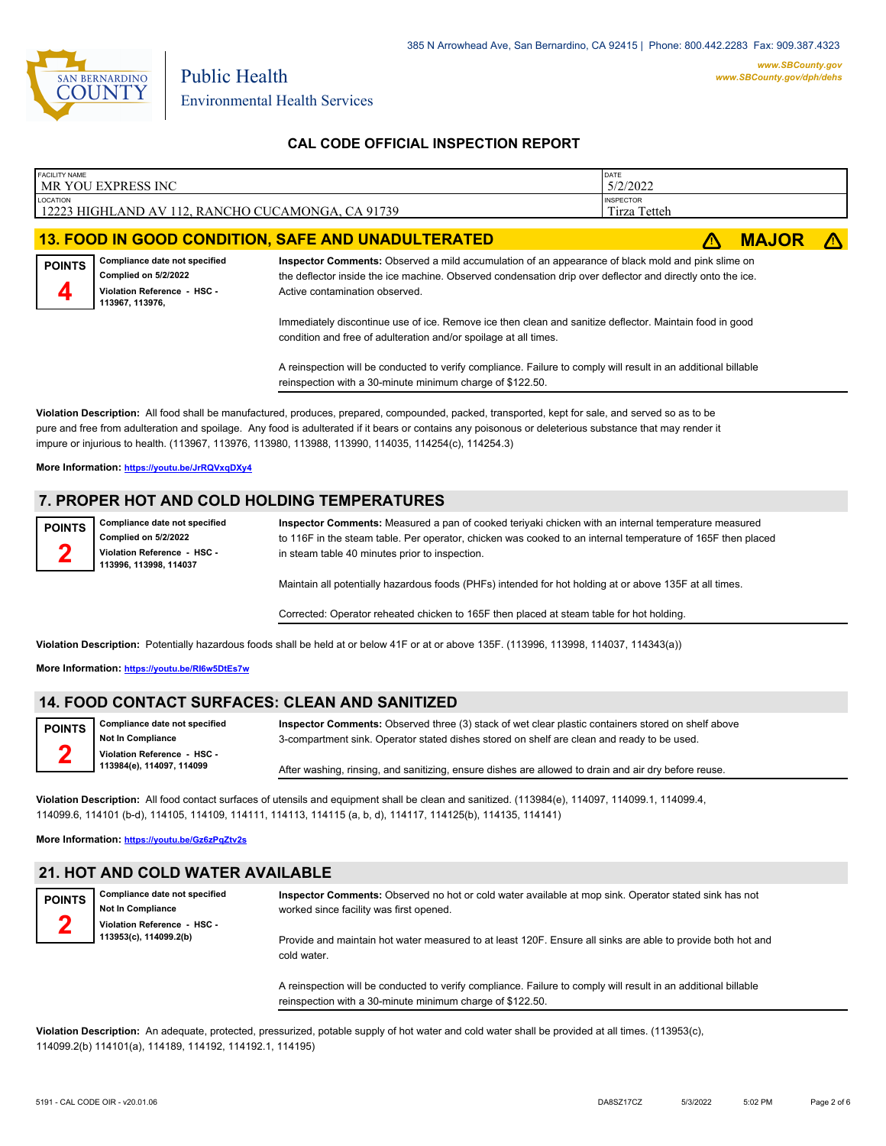

| <b>FACILITY NAME</b>                                              |                                                       |                                                                                                                                                                                                                | DATE             |              |  |
|-------------------------------------------------------------------|-------------------------------------------------------|----------------------------------------------------------------------------------------------------------------------------------------------------------------------------------------------------------------|------------------|--------------|--|
|                                                                   | MR YOU EXPRESS INC                                    |                                                                                                                                                                                                                | 5/2/2022         |              |  |
| LOCATION                                                          |                                                       |                                                                                                                                                                                                                | <b>INSPECTOR</b> |              |  |
| 12223 HIGHLAND AV 112, RANCHO CUCAMONGA, CA 91739<br>Tirza Tetteh |                                                       |                                                                                                                                                                                                                |                  |              |  |
|                                                                   |                                                       |                                                                                                                                                                                                                |                  |              |  |
|                                                                   |                                                       | <b>13. FOOD IN GOOD CONDITION, SAFE AND UNADULTERATED</b>                                                                                                                                                      |                  | <b>MAJOR</b> |  |
| <b>POINTS</b>                                                     | Compliance date not specified<br>Complied on 5/2/2022 | Inspector Comments: Observed a mild accumulation of an appearance of black mold and pink slime on<br>the deflector inside the ice machine. Observed condensation drip over deflector and directly onto the ice |                  |              |  |

**Violation Reference - HSC - 113967, 113976, 4**

**2**

the deflector inside the ice machine. Observed condensation drip over deflector and directly onto the ice. Active contamination observed.

Immediately discontinue use of ice. Remove ice then clean and sanitize deflector. Maintain food in good condition and free of adulteration and/or spoilage at all times.

A reinspection will be conducted to verify compliance. Failure to comply will result in an additional billable reinspection with a 30-minute minimum charge of \$122.50.

**Violation Description:** All food shall be manufactured, produces, prepared, compounded, packed, transported, kept for sale, and served so as to be pure and free from adulteration and spoilage. Any food is adulterated if it bears or contains any poisonous or deleterious substance that may render it impure or injurious to health. (113967, 113976, 113980, 113988, 113990, 114035, 114254(c), 114254.3)

**More Information: <https://youtu.be/JrRQVxqDXy4>**

## **7. PROPER HOT AND COLD HOLDING TEMPERATURES**

**Compliance date not specified Complied on 5/2/2022 Violation Reference - HSC - 113996, 113998, 114037 POINTS**

**Inspector Comments:** Measured a pan of cooked teriyaki chicken with an internal temperature measured to 116F in the steam table. Per operator, chicken was cooked to an internal temperature of 165F then placed in steam table 40 minutes prior to inspection.

Maintain all potentially hazardous foods (PHFs) intended for hot holding at or above 135F at all times.

Corrected: Operator reheated chicken to 165F then placed at steam table for hot holding.

**Violation Description:** Potentially hazardous foods shall be held at or below 41F or at or above 135F. (113996, 113998, 114037, 114343(a))

**More Information: <https://youtu.be/RI6w5DtEs7w>**

#### **14. FOOD CONTACT SURFACES: CLEAN AND SANITIZED**

**Compliance date not specified Not In Compliance Violation Reference - HSC - 113984(e), 114097, 114099 POINTS 2 Inspector Comments:** Observed three (3) stack of wet clear plastic containers stored on shelf above 3-compartment sink. Operator stated dishes stored on shelf are clean and ready to be used. After washing, rinsing, and sanitizing, ensure dishes are allowed to drain and air dry before reuse.

**Violation Description:** All food contact surfaces of utensils and equipment shall be clean and sanitized. (113984(e), 114097, 114099.1, 114099.4, 114099.6, 114101 (b-d), 114105, 114109, 114111, 114113, 114115 (a, b, d), 114117, 114125(b), 114135, 114141)

**More Information: <https://youtu.be/Gz6zPqZtv2s>**

### **21. HOT AND COLD WATER AVAILABLE**

**POINTS 2**

**Compliance date not specified Not In Compliance Violation Reference - HSC - 113953(c), 114099.2(b) Inspector Comments:** Observed no hot or cold water available at mop sink. Operator stated sink has not worked since facility was first opened. Provide and maintain hot water measured to at least 120F. Ensure all sinks are able to provide both hot and cold water.

> A reinspection will be conducted to verify compliance. Failure to comply will result in an additional billable reinspection with a 30-minute minimum charge of \$122.50.

**Violation Description:** An adequate, protected, pressurized, potable supply of hot water and cold water shall be provided at all times. (113953(c), 114099.2(b) 114101(a), 114189, 114192, 114192.1, 114195)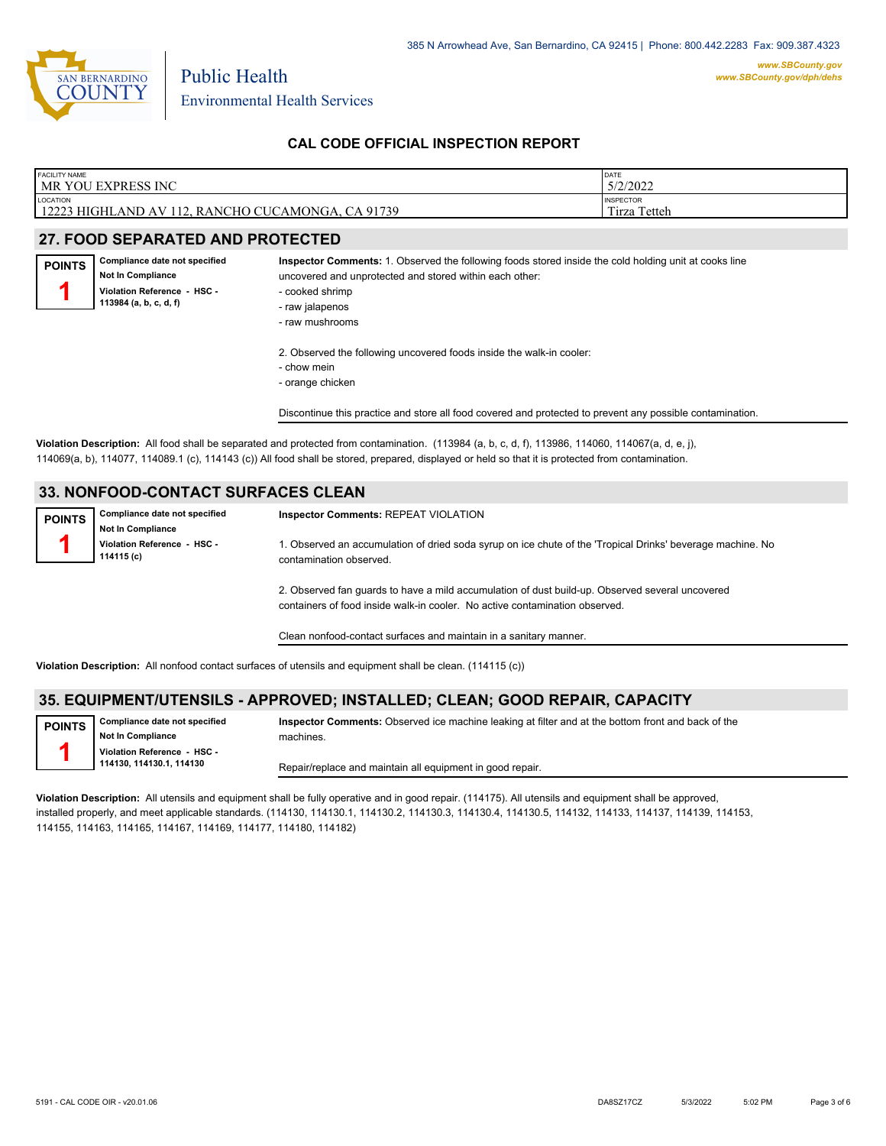

| <b>FACILITY NAME</b>                                                                | <b>DATE</b>                               |
|-------------------------------------------------------------------------------------|-------------------------------------------|
| <b>MR YOU EXPRESS INC</b>                                                           | 5/2/2022                                  |
| LOCATION<br>12223<br>CA 91739<br>HIGHLAND AV<br>, RANCHO CUCAMONGA,<br>112<br>14449 | <b>INSPECTOR</b><br>Tetteh<br>--<br>lirza |

## **27. FOOD SEPARATED AND PROTECTED**

**Compliance date not specified Not In Compliance Violation Reference - HSC - 113984 (a, b, c, d, f) POINTS 1**

### **Inspector Comments:** 1. Observed the following foods stored inside the cold holding unit at cooks line uncovered and unprotected and stored within each other:

- cooked shrimp
- raw jalapenos
- raw mushrooms
- 2. Observed the following uncovered foods inside the walk-in cooler:
- chow mein
- orange chicken

Discontinue this practice and store all food covered and protected to prevent any possible contamination.

**Violation Description:** All food shall be separated and protected from contamination. (113984 (a, b, c, d, f), 113986, 114060, 114067(a, d, e, j), 114069(a, b), 114077, 114089.1 (c), 114143 (c)) All food shall be stored, prepared, displayed or held so that it is protected from contamination.

## **33. NONFOOD-CONTACT SURFACES CLEAN**

| <b>POINTS</b> | Compliance date not specified             | <b>Inspector Comments: REPEAT VIOLATION</b>                                                                                           |
|---------------|-------------------------------------------|---------------------------------------------------------------------------------------------------------------------------------------|
|               | <b>Not In Compliance</b>                  |                                                                                                                                       |
|               | Violation Reference - HSC -<br>114115 (c) | 1. Observed an accumulation of dried soda syrup on ice chute of the 'Tropical Drinks' beverage machine. No<br>contamination observed. |
|               |                                           | 2. Observed fan guards to have a mild accumulation of dust build-un. Observed several uncovered                                       |

ion of dust bu containers of food inside walk-in cooler. No active contamination observed.

Clean nonfood-contact surfaces and maintain in a sanitary manner.

**Violation Description:** All nonfood contact surfaces of utensils and equipment shall be clean. (114115 (c))

### **35. EQUIPMENT/UTENSILS - APPROVED; INSTALLED; CLEAN; GOOD REPAIR, CAPACITY**

**Compliance date not specified Not In Compliance POINTS**

**1**

**Violation Reference - HSC - 114130, 114130.1, 114130**

**Inspector Comments:** Observed ice machine leaking at filter and at the bottom front and back of the machines.

Repair/replace and maintain all equipment in good repair.

**Violation Description:** All utensils and equipment shall be fully operative and in good repair. (114175). All utensils and equipment shall be approved, installed properly, and meet applicable standards. (114130, 114130.1, 114130.2, 114130.3, 114130.4, 114130.5, 114132, 114133, 114137, 114139, 114153, 114155, 114163, 114165, 114167, 114169, 114177, 114180, 114182)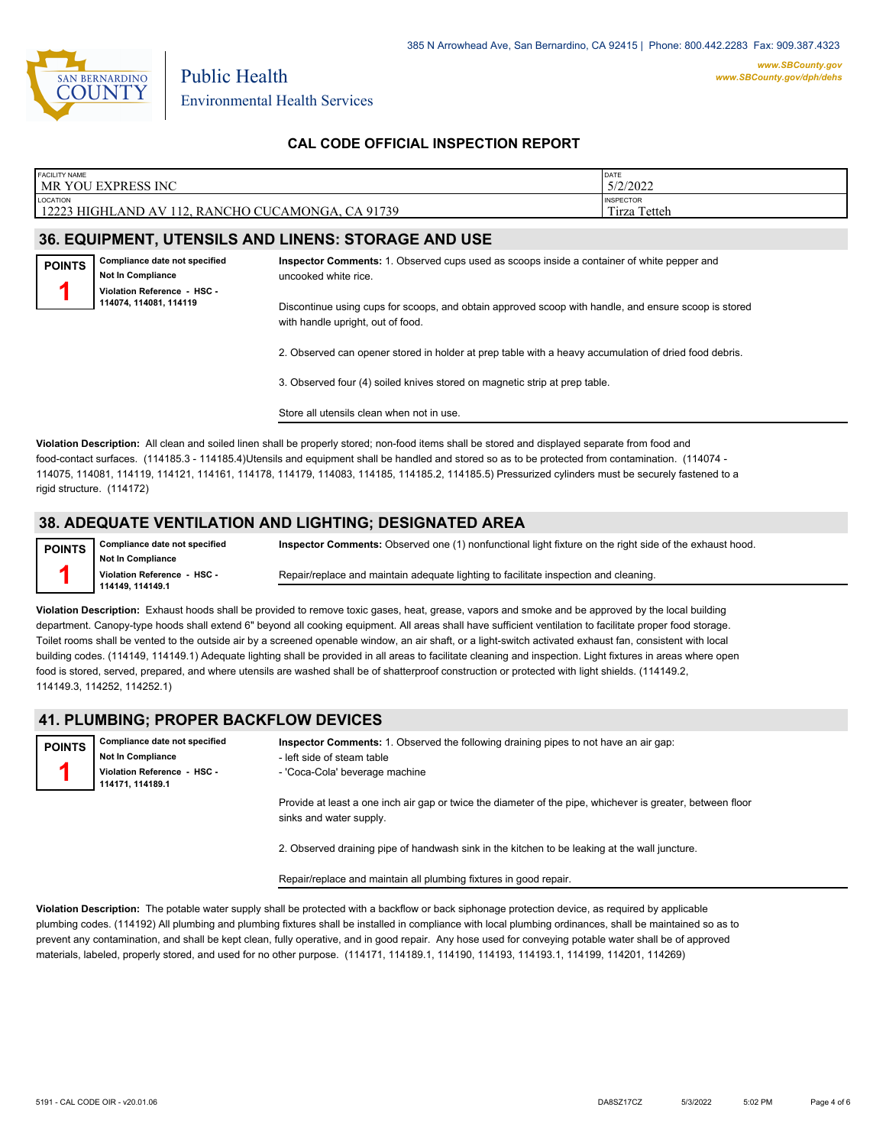

| <b>FACILITY NAME</b><br><b>MR YOU EXPRESS INC</b>                                  | DATE<br>5/2/2022                    |
|------------------------------------------------------------------------------------|-------------------------------------|
| LOCATION<br>CA 91739<br>12223<br>) CUCAMONGA.<br>i HIGHLAND AV 1<br>12<br>. RANCHO | <b>INSPECTOR</b><br>Tetteh<br>Tirza |
|                                                                                    |                                     |

## **36. EQUIPMENT, UTENSILS AND LINENS: STORAGE AND USE**

**Compliance date not specified Not In Compliance Violation Reference - HSC - 114074, 114081, 114119 POINTS 1**

**Inspector Comments:** 1. Observed cups used as scoops inside a container of white pepper and uncooked white rice.

Discontinue using cups for scoops, and obtain approved scoop with handle, and ensure scoop is stored with handle upright, out of food.

2. Observed can opener stored in holder at prep table with a heavy accumulation of dried food debris.

3. Observed four (4) soiled knives stored on magnetic strip at prep table.

Store all utensils clean when not in use.

**Violation Description:** All clean and soiled linen shall be properly stored; non-food items shall be stored and displayed separate from food and food-contact surfaces. (114185.3 - 114185.4)Utensils and equipment shall be handled and stored so as to be protected from contamination. (114074 - 114075, 114081, 114119, 114121, 114161, 114178, 114179, 114083, 114185, 114185.2, 114185.5) Pressurized cylinders must be securely fastened to a rigid structure. (114172)

#### **38. ADEQUATE VENTILATION AND LIGHTING; DESIGNATED AREA**

**Compliance date not specified Not In Compliance Violation Reference - HSC - 114149, 114149.1 POINTS 1 Inspector Comments:** Observed one (1) nonfunctional light fixture on the right side of the exhaust hood.

Repair/replace and maintain adequate lighting to facilitate inspection and cleaning.

**Violation Description:** Exhaust hoods shall be provided to remove toxic gases, heat, grease, vapors and smoke and be approved by the local building department. Canopy-type hoods shall extend 6" beyond all cooking equipment. All areas shall have sufficient ventilation to facilitate proper food storage. Toilet rooms shall be vented to the outside air by a screened openable window, an air shaft, or a light-switch activated exhaust fan, consistent with local building codes. (114149, 114149.1) Adequate lighting shall be provided in all areas to facilitate cleaning and inspection. Light fixtures in areas where open food is stored, served, prepared, and where utensils are washed shall be of shatterproof construction or protected with light shields. (114149.2, 114149.3, 114252, 114252.1)

#### **41. PLUMBING; PROPER BACKFLOW DEVICES**

**Compliance date not specified Not In Compliance Violation Reference - HSC - 114171, 114189.1 POINTS 1 Inspector Comments:** 1. Observed the following draining pipes to not have an air gap: - left side of steam table - 'Coca-Cola' beverage machine

Provide at least a one inch air gap or twice the diameter of the pipe, whichever is greater, between floor sinks and water supply.

2. Observed draining pipe of handwash sink in the kitchen to be leaking at the wall juncture.

Repair/replace and maintain all plumbing fixtures in good repair.

**Violation Description:** The potable water supply shall be protected with a backflow or back siphonage protection device, as required by applicable plumbing codes. (114192) All plumbing and plumbing fixtures shall be installed in compliance with local plumbing ordinances, shall be maintained so as to prevent any contamination, and shall be kept clean, fully operative, and in good repair. Any hose used for conveying potable water shall be of approved materials, labeled, properly stored, and used for no other purpose. (114171, 114189.1, 114190, 114193, 114193.1, 114199, 114201, 114269)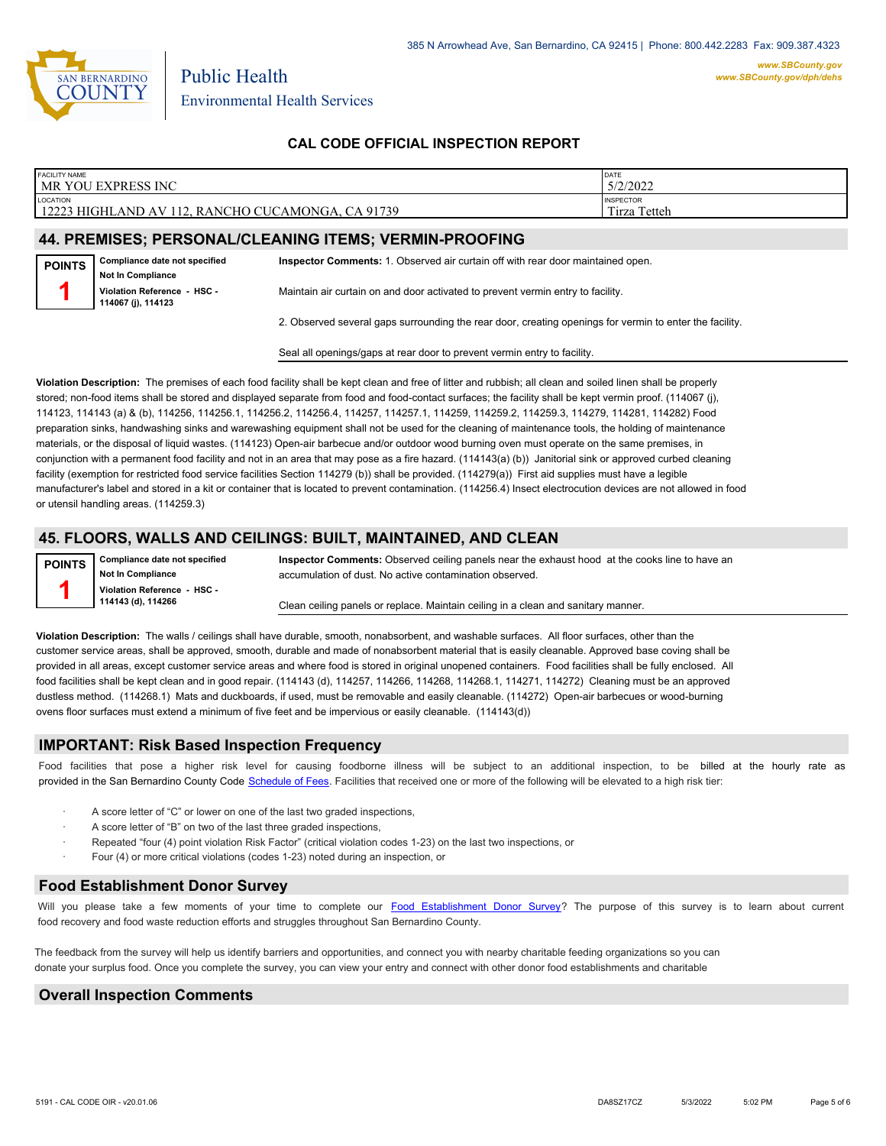

| <b>FACILITY NAME</b> | MR YOU EXPRESS INC                                        |                                                                                 | DATE<br>5/2/2022                 |
|----------------------|-----------------------------------------------------------|---------------------------------------------------------------------------------|----------------------------------|
| <b>LOCATION</b>      | 12223 HIGHLAND AV 112, RANCHO CUCAMONGA, CA 91739         |                                                                                 | <b>INSPECTOR</b><br>Tirza Tetteh |
|                      |                                                           | 44. PREMISES; PERSONAL/CLEANING ITEMS; VERMIN-PROOFING                          |                                  |
| <b>POINTS</b>        | Compliance date not specified<br><b>Not In Compliance</b> | Inspector Comments: 1. Observed air curtain off with rear door maintained open. |                                  |
|                      | Violation Reference - HSC -<br>114067 (i), 114123         | Maintain air curtain on and door activated to prevent vermin entry to facility. |                                  |

2. Observed several gaps surrounding the rear door, creating openings for vermin to enter the facility.

Seal all openings/gaps at rear door to prevent vermin entry to facility.

**Violation Description:** The premises of each food facility shall be kept clean and free of litter and rubbish; all clean and soiled linen shall be properly stored; non-food items shall be stored and displayed separate from food and food-contact surfaces; the facility shall be kept vermin proof. (114067 (j), 114123, 114143 (a) & (b), 114256, 114256.1, 114256.2, 114256.4, 114257, 114257.1, 114259, 114259.2, 114259.3, 114279, 114281, 114282) Food preparation sinks, handwashing sinks and warewashing equipment shall not be used for the cleaning of maintenance tools, the holding of maintenance materials, or the disposal of liquid wastes. (114123) Open-air barbecue and/or outdoor wood burning oven must operate on the same premises, in conjunction with a permanent food facility and not in an area that may pose as a fire hazard. (114143(a) (b)) Janitorial sink or approved curbed cleaning facility (exemption for restricted food service facilities Section 114279 (b)) shall be provided. (114279(a)) First aid supplies must have a legible manufacturer's label and stored in a kit or container that is located to prevent contamination. (114256.4) Insect electrocution devices are not allowed in food or utensil handling areas. (114259.3)

### **45. FLOORS, WALLS AND CEILINGS: BUILT, MAINTAINED, AND CLEAN**

**POINTS 1**

**Compliance date not specified Not In Compliance Violation Reference - HSC - 114143 (d), 114266**

**Inspector Comments:** Observed ceiling panels near the exhaust hood at the cooks line to have an accumulation of dust. No active contamination observed.

Clean ceiling panels or replace. Maintain ceiling in a clean and sanitary manner.

**Violation Description:** The walls / ceilings shall have durable, smooth, nonabsorbent, and washable surfaces. All floor surfaces, other than the customer service areas, shall be approved, smooth, durable and made of nonabsorbent material that is easily cleanable. Approved base coving shall be provided in all areas, except customer service areas and where food is stored in original unopened containers. Food facilities shall be fully enclosed. All food facilities shall be kept clean and in good repair. (114143 (d), 114257, 114266, 114268, 114268, 114271, 114272) Cleaning must be an approved dustless method. (114268.1) Mats and duckboards, if used, must be removable and easily cleanable. (114272) Open-air barbecues or wood-burning ovens floor surfaces must extend a minimum of five feet and be impervious or easily cleanable. (114143(d))

#### **IMPORTANT: Risk Based Inspection Frequency**

Food facilities that pose a higher risk level for causing foodborne illness will be subject to an additional inspection, to be billed at the hourly rate as provided in the San Bernardi[no County Code Schedule of Fees](https://codelibrary.amlegal.com/codes/sanbernardino/latest/sanberncty_ca/0-0-0-122474#JD_16.0213B). Facilities that received one or more of the following will be elevated to a high risk tier:

- A score letter of "C" or lower on one of the last two graded inspections,
- A score letter of "B" on two of the last three graded inspections,
- Repeated "four (4) point violation Risk Factor" (critical violation codes 1-23) on the last two inspections, or
- · Four (4) or more critical violations (codes 1-23) noted during an inspection, or

#### **Food Establishment Donor Survey**

Will you please take a few moments of your time to co[mplete our Food Establishment Donor Survey?](https://survey123.arcgis.com/share/626bb0fb21674c82832b0c0d557c5e80?field:faid=FA0012657&field:facility_name=MR%20YOU%20EXPRESS%20INC¢er=34.14,-117.54&field:phone=9096469933) The purpose of this survey is to learn about current food recovery and food waste reduction efforts and struggles throughout San Bernardino County.

The feedback from the survey will help us identify barriers and opportunities, and connect you with nearby charitable feeding organizations so you can donate your surplus fo[od. Once you complete the su](https://arcg.is/WvjGb)rvey, you can view your entry and connect with other donor food establishments and charitable

### **Overall Inspection Comments**